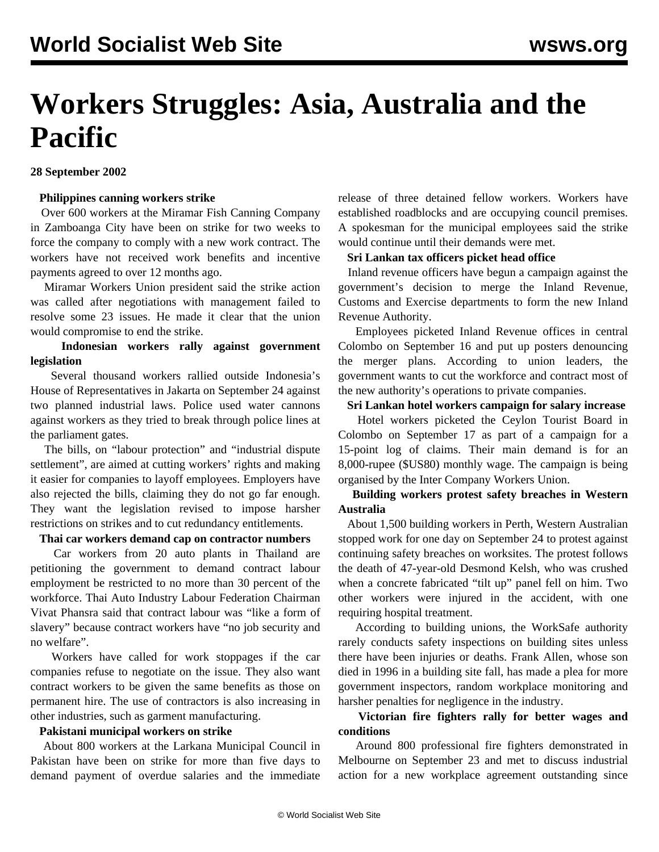# **Workers Struggles: Asia, Australia and the Pacific**

**28 September 2002**

#### **Philippines canning workers strike**

 Over 600 workers at the Miramar Fish Canning Company in Zamboanga City have been on strike for two weeks to force the company to comply with a new work contract. The workers have not received work benefits and incentive payments agreed to over 12 months ago.

 Miramar Workers Union president said the strike action was called after negotiations with management failed to resolve some 23 issues. He made it clear that the union would compromise to end the strike.

#### **Indonesian workers rally against government legislation**

 Several thousand workers rallied outside Indonesia's House of Representatives in Jakarta on September 24 against two planned industrial laws. Police used water cannons against workers as they tried to break through police lines at the parliament gates.

 The bills, on "labour protection" and "industrial dispute settlement", are aimed at cutting workers' rights and making it easier for companies to layoff employees. Employers have also rejected the bills, claiming they do not go far enough. They want the legislation revised to impose harsher restrictions on strikes and to cut redundancy entitlements.

## **Thai car workers demand cap on contractor numbers**

 Car workers from 20 auto plants in Thailand are petitioning the government to demand contract labour employment be restricted to no more than 30 percent of the workforce. Thai Auto Industry Labour Federation Chairman Vivat Phansra said that contract labour was "like a form of slavery" because contract workers have "no job security and no welfare".

 Workers have called for work stoppages if the car companies refuse to negotiate on the issue. They also want contract workers to be given the same benefits as those on permanent hire. The use of contractors is also increasing in other industries, such as garment manufacturing.

#### **Pakistani municipal workers on strike**

 About 800 workers at the Larkana Municipal Council in Pakistan have been on strike for more than five days to demand payment of overdue salaries and the immediate release of three detained fellow workers. Workers have established roadblocks and are occupying council premises. A spokesman for the municipal employees said the strike would continue until their demands were met.

#### **Sri Lankan tax officers picket head office**

 Inland revenue officers have begun a campaign against the government's decision to merge the Inland Revenue, Customs and Exercise departments to form the new Inland Revenue Authority.

 Employees picketed Inland Revenue offices in central Colombo on September 16 and put up posters denouncing the merger plans. According to union leaders, the government wants to cut the workforce and contract most of the new authority's operations to private companies.

# **Sri Lankan hotel workers campaign for salary increase**

 Hotel workers picketed the Ceylon Tourist Board in Colombo on September 17 as part of a campaign for a 15-point log of claims. Their main demand is for an 8,000-rupee (\$US80) monthly wage. The campaign is being organised by the Inter Company Workers Union.

## **Building workers protest safety breaches in Western Australia**

 About 1,500 building workers in Perth, Western Australian stopped work for one day on September 24 to protest against continuing safety breaches on worksites. The protest follows the death of 47-year-old Desmond Kelsh, who was crushed when a concrete fabricated "tilt up" panel fell on him. Two other workers were injured in the accident, with one requiring hospital treatment.

 According to building unions, the WorkSafe authority rarely conducts safety inspections on building sites unless there have been injuries or deaths. Frank Allen, whose son died in 1996 in a building site fall, has made a plea for more government inspectors, random workplace monitoring and harsher penalties for negligence in the industry.

## **Victorian fire fighters rally for better wages and conditions**

 Around 800 professional fire fighters demonstrated in Melbourne on September 23 and met to discuss industrial action for a new workplace agreement outstanding since